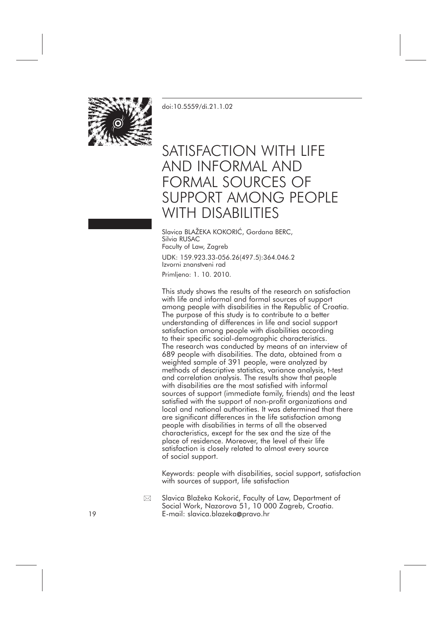

[doi:10.5559/di.21.1.02](http://dx.doi.org/10.5559/di.21.1.02)

# SATISFACTION WITH LIFE AND INFORMAL AND FORMAL SOURCES OF SUPPORT AMONG PEOPLE WITH DISABILITIES

Slavica BLAŽEKA KOKORIĆ, Gordana BERC, Silvia RUSAC Faculty of Law, Zagreb UDK: 159.923.33-056.26(497.5):364.046.2 Izvorni znanstveni rad Primljeno: 1. 10. 2010.

This study shows the results of the research on satisfaction with life and informal and formal sources of support among people with disabilities in the Republic of Croatia. The purpose of this study is to contribute to a better understanding of differences in life and social support satisfaction among people with disabilities according to their specific social-demographic characteristics. The research was conducted by means of an interview of 689 people with disabilities. The data, obtained from a weighted sample of 391 people, were analyzed by methods of descriptive statistics, variance analysis, t-test and correlation analysis. The results show that people with disabilities are the most satisfied with informal sources of support (immediate family, friends) and the least satisfied with the support of non-profit organizations and local and national authorities. It was determined that there are significant differences in the life satisfaction among people with disabilities in terms of all the observed characteristics, except for the sex and the size of the place of residence. Moreover, the level of their life satisfaction is closely related to almost every source of social support.

Keywords: people with disabilities, social support, satisfaction with sources of support, life satisfaction

Slavica Blažeka Kokorić, Faculty of Law, Department of Social Work, Nazorova 51, 10 000 Zagreb, Croatia. 19 E-mail: slavica.blazeka**@**pravo.hr  $\boxtimes$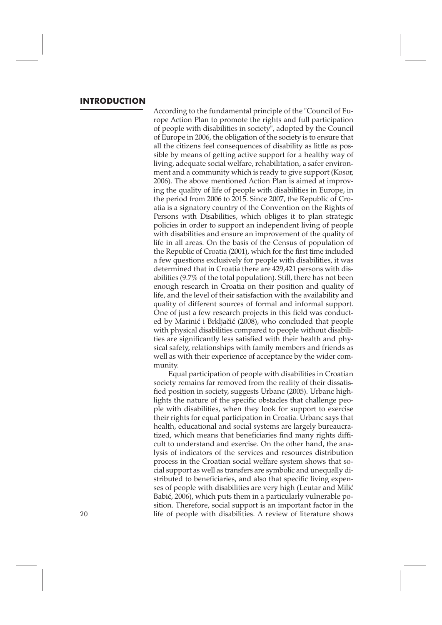## **INTRODUCTION**

According to the fundamental principle of the "Council of Europe Action Plan to promote the rights and full participation of people with disabilities in society", adopted by the Council of Europe in 2006, the obligation of the society is to ensure that all the citizens feel consequences of disability as little as possible by means of getting active support for a healthy way of living, adequate social welfare, rehabilitation, a safer environment and a community which is ready to give support (Kosor, 2006). The above mentioned Action Plan is aimed at improving the quality of life of people with disabilities in Europe, in the period from 2006 to 2015. Since 2007, the Republic of Croatia is a signatory country of the Convention on the Rights of Persons with Disabilities, which obliges it to plan strategic policies in order to support an independent living of people with disabilities and ensure an improvement of the quality of life in all areas. On the basis of the Census of population of the Republic of Croatia (2001), which for the first time included a few questions exclusively for people with disabilities, it was determined that in Croatia there are 429,421 persons with disabilities (9.7% of the total population). Still, there has not been enough research in Croatia on their position and quality of life, and the level of their satisfaction with the availability and quality of different sources of formal and informal support. One of just a few research projects in this field was conducted by Marinić i Brkljačić (2008), who concluded that people with physical disabilities compared to people without disabilities are significantly less satisfied with their health and physical safety, relationships with family members and friends as well as with their experience of acceptance by the wider community.

Equal participation of people with disabilities in Croatian society remains far removed from the reality of their dissatisfied position in society, suggests Urbanc (2005). Urbanc highlights the nature of the specific obstacles that challenge people with disabilities, when they look for support to exercise their rights for equal participation in Croatia. Urbanc says that health, educational and social systems are largely bureaucratized, which means that beneficiaries find many rights difficult to understand and exercise. On the other hand, the analysis of indicators of the services and resources distribution process in the Croatian social welfare system shows that social support as well as transfers are symbolic and unequally distributed to beneficiaries, and also that specific living expenses of people with disabilities are very high (Leutar and Milić Babić, 2006), which puts them in a particularly vulnerable position. Therefore, social support is an important factor in the 20 life of people with disabilities. A review of literature shows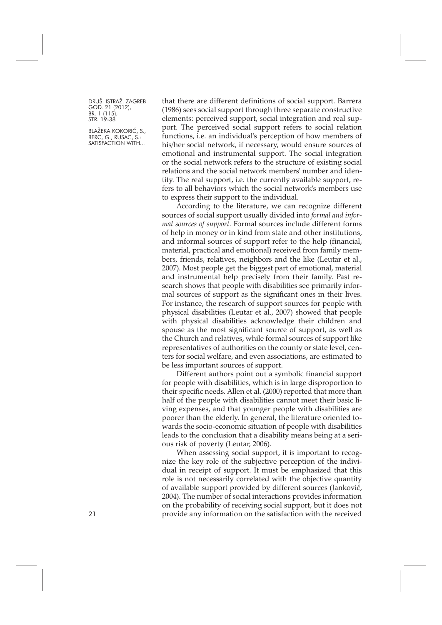BLAŽEKA KOKORIĆ, S., BERC, G., RUSAC, S. SATISFACTION WITH...

that there are different definitions of social support. Barrera (1986) sees social support through three separate constructive elements: perceived support, social integration and real support. The perceived social support refers to social relation functions, i.e. an individual's perception of how members of his/her social network, if necessary, would ensure sources of emotional and instrumental support. The social integration or the social network refers to the structure of existing social relations and the social network members' number and identity. The real support, i.e. the currently available support, refers to all behaviors which the social network's members use to express their support to the individual.

According to the literature, we can recognize different sources of social support usually divided into *formal and informal sources of support*. Formal sources include different forms of help in money or in kind from state and other institutions, and informal sources of support refer to the help (financial, material, practical and emotional) received from family members, friends, relatives, neighbors and the like (Leutar et al., 2007). Most people get the biggest part of emotional, material and instrumental help precisely from their family. Past research shows that people with disabilities see primarily informal sources of support as the significant ones in their lives. For instance, the research of support sources for people with physical disabilities (Leutar et al., 2007) showed that people with physical disabilities acknowledge their children and spouse as the most significant source of support, as well as the Church and relatives, while formal sources of support like representatives of authorities on the county or state level, centers for social welfare, and even associations, are estimated to be less important sources of support.

Different authors point out a symbolic financial support for people with disabilities, which is in large disproportion to their specific needs. Allen et al. (2000) reported that more than half of the people with disabilities cannot meet their basic living expenses, and that younger people with disabilities are poorer than the elderly. In general, the literature oriented towards the socio-economic situation of people with disabilities leads to the conclusion that a disability means being at a serious risk of poverty (Leutar, 2006).

When assessing social support, it is important to recognize the key role of the subjective perception of the individual in receipt of support. It must be emphasized that this role is not necessarily correlated with the objective quantity of available support provided by different sources (Janković, 2004). The number of social interactions provides information on the probability of receiving social support, but it does not 21 provide any information on the satisfaction with the received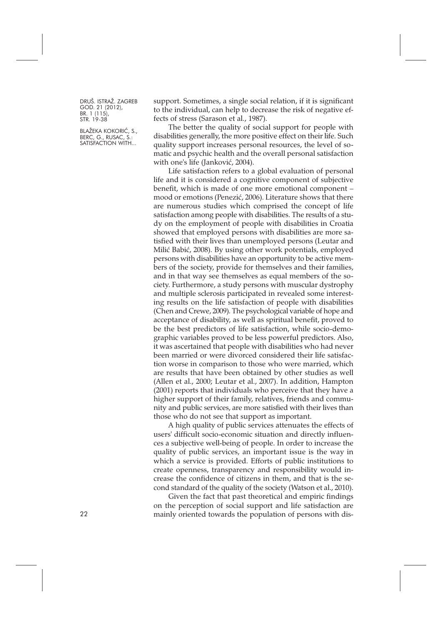BLAŽEKA KOKORIĆ, S., BERC, G., RUSAC, S. SATISFACTION WITH...

support. Sometimes, a single social relation, if it is significant to the individual, can help to decrease the risk of negative effects of stress (Sarason et al., 1987).

The better the quality of social support for people with disabilities generally, the more positive effect on their life. Such quality support increases personal resources, the level of somatic and psychic health and the overall personal satisfaction with one's life (Janković, 2004).

Life satisfaction refers to a global evaluation of personal life and it is considered a cognitive component of subjective benefit, which is made of one more emotional component – mood or emotions (Penezić, 2006). Literature shows that there are numerous studies which comprised the concept of life satisfaction among people with disabilities. The results of a study on the employment of people with disabilities in Croatia showed that employed persons with disabilities are more satisfied with their lives than unemployed persons (Leutar and Milić Babić, 2008). By using other work potentials, employed persons with disabilities have an opportunity to be active members of the society, provide for themselves and their families, and in that way see themselves as equal members of the society. Furthermore, a study persons with muscular dystrophy and multiple sclerosis participated in revealed some interesting results on the life satisfaction of people with disabilities (Chen and Crewe, 2009). The psychological variable of hope and acceptance of disability, as well as spiritual benefit, proved to be the best predictors of life satisfaction, while socio-demographic variables proved to be less powerful predictors. Also, it was ascertained that people with disabilities who had never been married or were divorced considered their life satisfaction worse in comparison to those who were married, which are results that have been obtained by other studies as well (Allen et al., 2000; Leutar et al., 2007). In addition, Hampton (2001) reports that individuals who perceive that they have a higher support of their family, relatives, friends and community and public services, are more satisfied with their lives than those who do not see that support as important.

A high quality of public services attenuates the effects of users' difficult socio-economic situation and directly influences a subjective well-being of people. In order to increase the quality of public services, an important issue is the way in which a service is provided. Efforts of public institutions to create openness, transparency and responsibility would increase the confidence of citizens in them, and that is the second standard of the quality of the society (Watson et al., 2010).

Given the fact that past theoretical and empiric findings on the perception of social support and life satisfaction are 22 mainly oriented towards the population of persons with dis-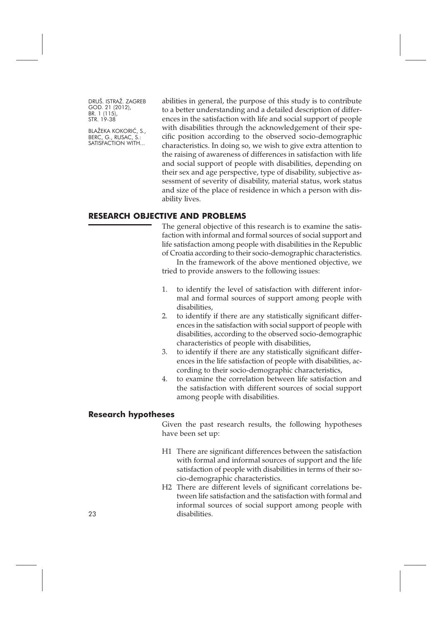BLAŽEKA KOKORIĆ, S., BERC, G., RUSAC, S. SATISFACTION WITH...

abilities in general, the purpose of this study is to contribute to a better understanding and a detailed description of differences in the satisfaction with life and social support of people with disabilities through the acknowledgement of their specific position according to the observed socio-demographic characteristics. In doing so, we wish to give extra attention to the raising of awareness of differences in satisfaction with life and social support of people with disabilities, depending on their sex and age perspective, type of disability, subjective assessment of severity of disability, material status, work status and size of the place of residence in which a person with disability lives.

## **RESEARCH OBJECTIVE AND PROBLEMS**

The general objective of this research is to examine the satisfaction with informal and formal sources of social support and life satisfaction among people with disabilities in the Republic of Croatia according to their socio-demographic characteristics.

In the framework of the above mentioned objective, we tried to provide answers to the following issues:

- 1. to identify the level of satisfaction with different informal and formal sources of support among people with disabilities,
- 2. to identify if there are any statistically significant differences in the satisfaction with social support of people with disabilities, according to the observed socio-demographic characteristics of people with disabilities,
- 3. to identify if there are any statistically significant differences in the life satisfaction of people with disabilities, according to their socio-demographic characteristics,
- 4. to examine the correlation between life satisfaction and the satisfaction with different sources of social support among people with disabilities.

#### **Research hypotheses**

Given the past research results, the following hypotheses have been set up:

- H1 There are significant differences between the satisfaction with formal and informal sources of support and the life satisfaction of people with disabilities in terms of their socio-demographic characteristics.
- H2 There are different levels of significant correlations between life satisfaction and the satisfaction with formal and informal sources of social support among people with 23 disabilities.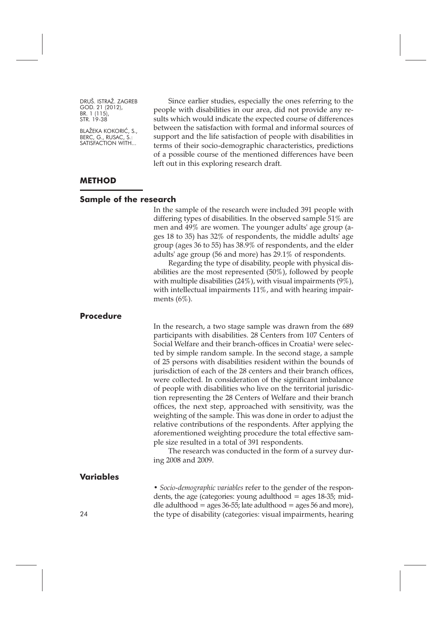BLAŽEKA KOKORIĆ, S., BERC, G., RUSAC, S.: SATISFACTION WITH...

Since earlier studies, especially the ones referring to the people with disabilities in our area, did not provide any results which would indicate the expected course of differences between the satisfaction with formal and informal sources of support and the life satisfaction of people with disabilities in terms of their socio-demographic characteristics, predictions of a possible course of the mentioned differences have been left out in this exploring research draft.

## **METHOD**

#### **Sample of the research**

In the sample of the research were included 391 people with differing types of disabilities. In the observed sample 51% are men and 49% are women. The younger adults' age group (ages 18 to 35) has 32% of respondents, the middle adults' age group (ages 36 to 55) has 38.9% of respondents, and the elder adults' age group (56 and more) has 29.1% of respondents.

Regarding the type of disability, people with physical disabilities are the most represented (50%), followed by people with multiple disabilities (24%), with visual impairments (9%), with intellectual impairments 11%, and with hearing impairments (6%).

### **Procedure**

In the research, a two stage sample was drawn from the 689 participants with disabilities. 28 Centers from 107 Centers of Social Welfare and their branch-offices in Croatia1 were selected by simple random sample. In the second stage, a sample of 25 persons with disabilities resident within the bounds of jurisdiction of each of the 28 centers and their branch offices, were collected. In consideration of the significant imbalance of people with disabilities who live on the territorial jurisdiction representing the 28 Centers of Welfare and their branch offices, the next step, approached with sensitivity, was the weighting of the sample. This was done in order to adjust the relative contributions of the respondents. After applying the aforementioned weighting procedure the total effective sample size resulted in a total of 391 respondents.

The research was conducted in the form of a survey during 2008 and 2009.

#### **Variables**

• *Socio-demographic variables* refer to the gender of the respondents, the age (categories: young adulthood  $=$  ages 18-35; middle adulthood = ages  $36-55$ ; late adulthood = ages  $56$  and more), 24 the type of disability (categories: visual impairments, hearing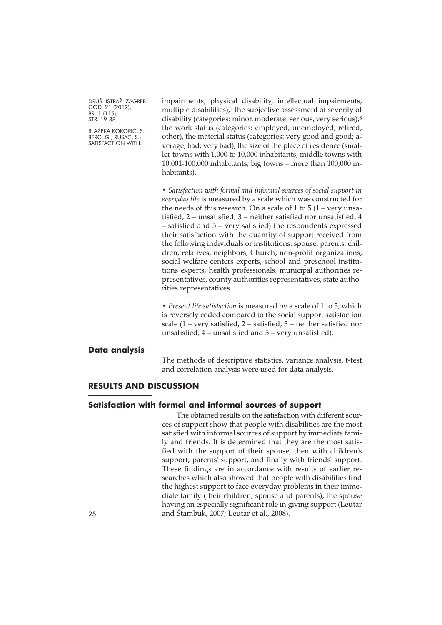BLAŽEKA KOKORIĆ, S., BERC, G., RUSAC, S. SATISFACTION WITH...

impairments, physical disability, intellectual impairments, multiple disabilities),<sup>2</sup> the subjective assessment of severity of disability (categories: minor, moderate, serious, very serious),<sup>3</sup> the work status (categories: employed, unemployed, retired, other), the material status (categories: very good and good; average; bad; very bad), the size of the place of residence (smaller towns with 1,000 to 10,000 inhabitants; middle towns with 10,001-100,000 inhabitants; big towns – more than 100,000 inhabitants).

• *Satisfaction with formal and informal sources of social support in everyday life* is measured by a scale which was constructed for the needs of this research. On a scale of 1 to  $5(1 - \text{very unsa-}$ tisfied, 2 – unsatisfied, 3 – neither satisfied nor unsatisfied, 4 – satisfied and 5 – very satisfied) the respondents expressed their satisfaction with the quantity of support received from the following individuals or institutions: spouse, parents, children, relatives, neighbors, Church, non-profit organizations, social welfare centers experts, school and preschool institutions experts, health professionals, municipal authorities representatives, county authorities representatives, state authorities representatives.

• *Present life satisfaction* is measured by a scale of 1 to 5, which is reversely coded compared to the social support satisfaction scale (1 – very satisfied, 2 – satisfied, 3 – neither satisfied nor unsatisfied, 4 – unsatisfied and 5 – very unsatisfied).

#### **Data analysis**

The methods of descriptive statistics, variance analysis, t-test and correlation analysis were used for data analysis.

## **RESULTS AND DISCUSSION**

#### **Satisfaction with formal and informal sources of support**

The obtained results on the satisfaction with different sources of support show that people with disabilities are the most satisfied with informal sources of support by immediate family and friends. It is determined that they are the most satisfied with the support of their spouse, then with children's support, parents' support, and finally with friends' support. These findings are in accordance with results of earlier researches which also showed that people with disabilities find the highest support to face everyday problems in their immediate family (their children, spouse and parents), the spouse having an especially significant role in giving support (Leutar 25 and Štambuk, 2007; Leutar et al., 2008).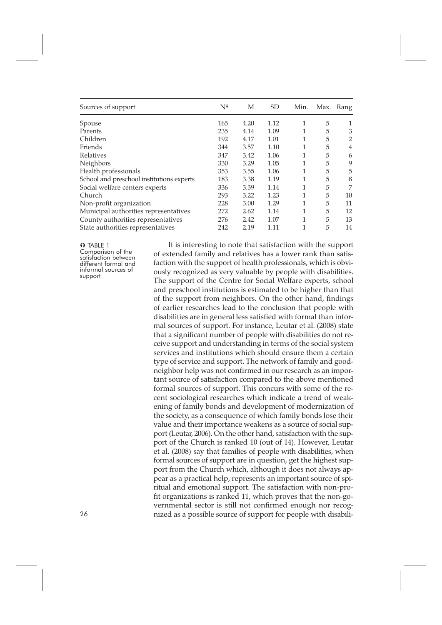| Sources of support                        | N <sup>4</sup> | М    | <b>SD</b> | Min. |   | Max. Rang |
|-------------------------------------------|----------------|------|-----------|------|---|-----------|
| Spouse                                    | 165            | 4.20 | 1.12      |      | 5 |           |
| Parents                                   | 235            | 4.14 | 1.09      |      | 5 | 3         |
| Children                                  | 192            | 4.17 | 1.01      |      | 5 | 2         |
| Friends                                   | 344            | 3.57 | 1.10      |      | 5 | 4         |
| Relatives                                 | 347            | 3.42 | 1.06      |      | 5 | 6         |
| Neighbors                                 | 330            | 3.29 | 1.05      |      | 5 | 9         |
| Health professionals                      | 353            | 3.55 | 1.06      |      | 5 | 5         |
| School and preschool institutions experts | 183            | 3.38 | 1.19      |      | 5 | 8         |
| Social welfare centers experts            | 336            | 3.39 | 1.14      |      | 5 | 7         |
| Church                                    | 293            | 3.22 | 1.23      |      | 5 | 10        |
| Non-profit organization                   | 228            | 3.00 | 1.29      |      | 5 | 11        |
| Municipal authorities representatives     | 272            | 2.62 | 1.14      |      | 5 | 12        |
| County authorities representatives        | 276            | 2.42 | 1.07      |      | 5 | 13        |
| State authorities representatives         | 242            | 2.19 | 1.11      |      | 5 | 14        |

O TABLE 1

Comparison of the satisfaction between different formal and informal sources of support

It is interesting to note that satisfaction with the support of extended family and relatives has a lower rank than satisfaction with the support of health professionals, which is obviously recognized as very valuable by people with disabilities. The support of the Centre for Social Welfare experts, school and preschool institutions is estimated to be higher than that of the support from neighbors. On the other hand, findings of earlier researches lead to the conclusion that people with disabilities are in general less satisfied with formal than informal sources of support. For instance, Leutar et al. (2008) state that a significant number of people with disabilities do not receive support and understanding in terms of the social system services and institutions which should ensure them a certain type of service and support. The network of family and goodneighbor help was not confirmed in our research as an important source of satisfaction compared to the above mentioned formal sources of support. This concurs with some of the recent sociological researches which indicate a trend of weakening of family bonds and development of modernization of the society, as a consequence of which family bonds lose their value and their importance weakens as a source of social support (Leutar, 2006). On the other hand, satisfaction with the support of the Church is ranked 10 (out of 14). However, Leutar et al. (2008) say that families of people with disabilities, when formal sources of support are in question, get the highest support from the Church which, although it does not always appear as a practical help, represents an important source of spiritual and emotional support. The satisfaction with non-profit organizations is ranked 11, which proves that the non-governmental sector is still not confirmed enough nor recog-26 nized as a possible source of support for people with disabili-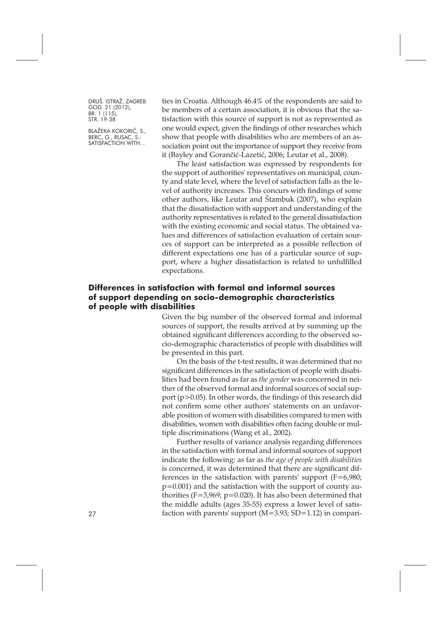BLAŽEKA KOKORIĆ, S., BERC, G., RUSAC, S. SATISFACTION WITH...

ties in Croatia. Although 46.4% of the respondents are said to be members of a certain association, it is obvious that the satisfaction with this source of support is not as represented as one would expect, given the findings of other researches which show that people with disabilities who are members of an association point out the importance of support they receive from it (Bayley and Gorančić-Lazetić, 2006; Leutar et al., 2008).

The least satisfaction was expressed by respondents for the support of authorities' representatives on municipal, county and state level, where the level of satisfaction falls as the level of authority increases. This concurs with findings of some other authors, like Leutar and Štambuk (2007), who explain that the dissatisfaction with support and understanding of the authority representatives is related to the general dissatisfaction with the existing economic and social status. The obtained values and differences of satisfaction evaluation of certain sources of support can be interpreted as a possible reflection of different expectations one has of a particular source of support, where a higher dissatisfaction is related to unfulfilled expectations.

## **Differences in satisfaction with formal and informal sources of support depending on socio-demographic characteristics of people with disabilities**

Given the big number of the observed formal and informal sources of support, the results arrived at by summing up the obtained significant differences according to the observed socio-demographic characteristics of people with disabilities will be presented in this part.

On the basis of the t-test results, it was determined that no significant differences in the satisfaction of people with disabilities had been found as far as *the gender* was concerned in neither of the observed formal and informal sources of social support (p>0.05). In other words, the findings of this research did not confirm some other authors' statements on an unfavorable position of women with disabilities compared to men with disabilities, women with disabilities often facing double or multiple discriminations (Wang et al., 2002).

Further results of variance analysis regarding differences in the satisfaction with formal and informal sources of support indicate the following: as far as *the age of people with disabilities* is concerned, it was determined that there are significant differences in the satisfaction with parents' support  $(F=6,980;$ p=0.001) and the satisfaction with the support of county authorities  $(F=3,969; p=0.020)$ . It has also been determined that the middle adults (ages 35-55) express a lower level of satis-27 faction with parents' support (M=3.93; SD=1.12) in compari-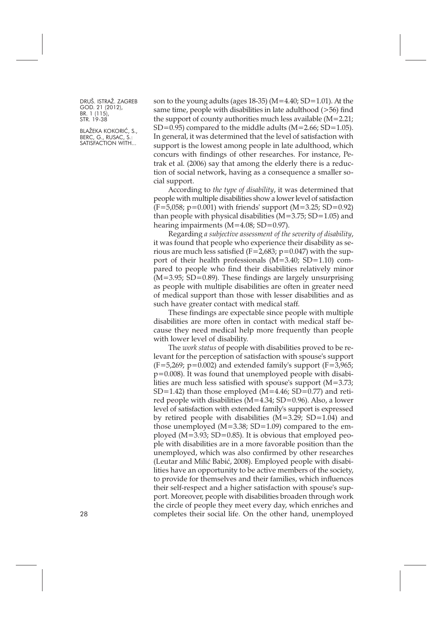BLAŽEKA KOKORIĆ, S., BERC, G., RUSAC, S. SATISFACTION WITH...

son to the young adults (ages 18-35) (M=4.40; SD=1.01). At the same time, people with disabilities in late adulthood (>56) find the support of county authorities much less available (M=2.21; SD=0.95) compared to the middle adults ( $M=2.66$ ; SD=1.05). In general, it was determined that the level of satisfaction with support is the lowest among people in late adulthood, which concurs with findings of other researches. For instance, Petrak et al. (2006) say that among the elderly there is a reduction of social network, having as a consequence a smaller social support.

According to *the type of disability*, it was determined that people with multiple disabilities show a lower level of satisfaction  $(F=5,058; p=0.001)$  with friends' support  $(M=3.25; SD=0.92)$ than people with physical disabilities  $(M=3.75; SD=1.05)$  and hearing impairments (M=4.08; SD=0.97).

Regarding *a subjective assessment of the severity of disability*, it was found that people who experience their disability as serious are much less satisfied ( $F=2,683$ ;  $p=0.047$ ) with the support of their health professionals (M=3.40; SD=1.10) compared to people who find their disabilities relatively minor (M=3.95; SD=0.89). These findings are largely unsurprising as people with multiple disabilities are often in greater need of medical support than those with lesser disabilities and as such have greater contact with medical staff.

These findings are expectable since people with multiple disabilities are more often in contact with medical staff because they need medical help more frequently than people with lower level of disability.

The *work status* of people with disabilities proved to be relevant for the perception of satisfaction with spouse's support  $(F=5,269; p=0.002)$  and extended family's support  $(F=3,965;$ p=0.008). It was found that unemployed people with disabilities are much less satisfied with spouse's support (M=3.73; SD=1.42) than those employed (M=4.46; SD=0.77) and retired people with disabilities (M=4.34; SD=0.96). Also, a lower level of satisfaction with extended family's support is expressed by retired people with disabilities (M=3.29; SD=1.04) and those unemployed  $(M=3.38; SD=1.09)$  compared to the employed  $(M=3.93; SD=0.85)$ . It is obvious that employed people with disabilities are in a more favorable position than the unemployed, which was also confirmed by other researches (Leutar and Milić Babić, 2008). Employed people with disabilities have an opportunity to be active members of the society, to provide for themselves and their families, which influences their self-respect and a higher satisfaction with spouse's support. Moreover, people with disabilities broaden through work the circle of people they meet every day, which enriches and 28 completes their social life. On the other hand, unemployed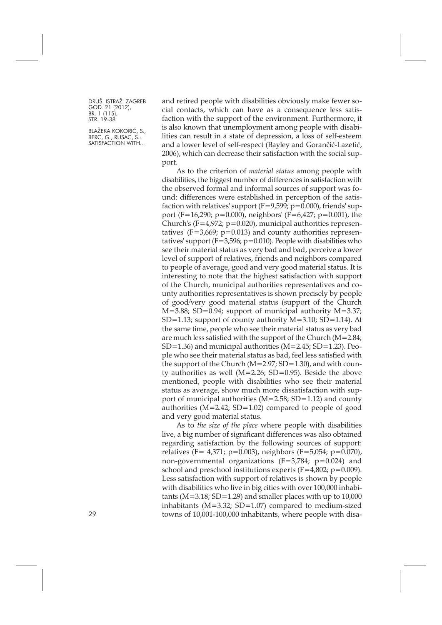BLAŽEKA KOKORIĆ, S., BERC, G., RUSAC, S. SATISFACTION WITH...

and retired people with disabilities obviously make fewer social contacts, which can have as a consequence less satisfaction with the support of the environment. Furthermore, it is also known that unemployment among people with disabilities can result in a state of depression, a loss of self-esteem and a lower level of self-respect (Bayley and Gorančić-Lazetić, 2006), which can decrease their satisfaction with the social support.

As to the criterion of *material status* among people with disabilities, the biggest number of differences in satisfaction with the observed formal and informal sources of support was found: differences were established in perception of the satisfaction with relatives' support ( $F=9,599$ ;  $p=0.000$ ), friends' support (F=16,290; p=0.000), neighbors' (F=6,427; p=0.001), the Church's (F=4,972; p=0.020), municipal authorities representatives'  $(F=3,669; p=0.013)$  and county authorities representatives' support ( $F=3,596$ ;  $p=0.010$ ). People with disabilities who see their material status as very bad and bad, perceive a lower level of support of relatives, friends and neighbors compared to people of average, good and very good material status. It is interesting to note that the highest satisfaction with support of the Church, municipal authorities representatives and county authorities representatives is shown precisely by people of good/very good material status (support of the Church  $M=3.88$ ; SD=0.94; support of municipal authority  $M=3.37$ ; SD=1.13; support of county authority M=3.10; SD=1.14). At the same time, people who see their material status as very bad are much less satisfied with the support of the Church (M=2.84; SD=1.36) and municipal authorities (M=2.45; SD=1.23). People who see their material status as bad, feel less satisfied with the support of the Church ( $M=2.97$ ; SD=1.30), and with county authorities as well (M=2.26; SD=0.95). Beside the above mentioned, people with disabilities who see their material status as average, show much more dissatisfaction with support of municipal authorities (M=2.58; SD=1.12) and county authorities (M=2.42; SD=1.02) compared to people of good and very good material status.

As to *the size of the place* where people with disabilities live, a big number of significant differences was also obtained regarding satisfaction by the following sources of support: relatives (F=  $4,371$ ; p=0.003), neighbors (F=5,054; p=0.070), non-governmental organizations  $(F=3,784; p=0.024)$  and school and preschool institutions experts  $(F=4,802; p=0.009)$ . Less satisfaction with support of relatives is shown by people with disabilities who live in big cities with over 100,000 inhabitants ( $M=3.18$ ; SD=1.29) and smaller places with up to 10,000 inhabitants ( $M = 3.32$ ;  $SD = 1.07$ ) compared to medium-sized 29 towns of 10,001-100,000 inhabitants, where people with disa-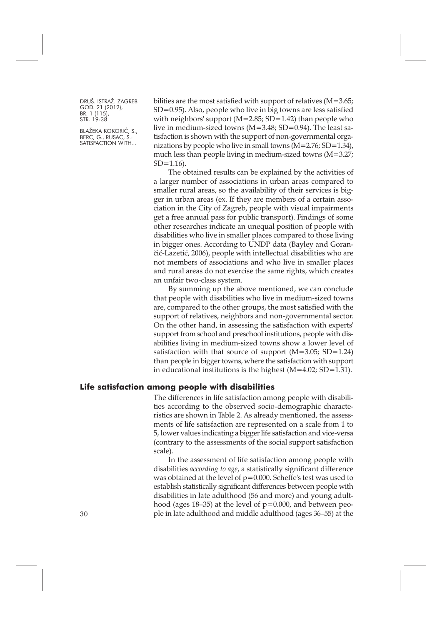BLAŽEKA KOKORIĆ, S., BERC, G., RUSAC, S.: SATISFACTION WITH...

bilities are the most satisfied with support of relatives (M=3.65; SD=0.95). Also, people who live in big towns are less satisfied with neighbors' support (M=2.85; SD=1.42) than people who live in medium-sized towns (M=3.48; SD=0.94). The least satisfaction is shown with the support of non-governmental organizations by people who live in small towns (M=2.76; SD=1.34), much less than people living in medium-sized towns (M=3.27;  $SD = 1.16$ ).

The obtained results can be explained by the activities of a larger number of associations in urban areas compared to smaller rural areas, so the availability of their services is bigger in urban areas (ex. If they are members of a certain association in the City of Zagreb, people with visual impairments get a free annual pass for public transport). Findings of some other researches indicate an unequal position of people with disabilities who live in smaller places compared to those living in bigger ones. According to UNDP data (Bayley and Gorančić-Lazetić, 2006), people with intellectual disabilities who are not members of associations and who live in smaller places and rural areas do not exercise the same rights, which creates an unfair two-class system.

By summing up the above mentioned, we can conclude that people with disabilities who live in medium-sized towns are, compared to the other groups, the most satisfied with the support of relatives, neighbors and non-governmental sector. On the other hand, in assessing the satisfaction with experts' support from school and preschool institutions, people with disabilities living in medium-sized towns show a lower level of satisfaction with that source of support (M=3.05; SD=1.24) than people in bigger towns, where the satisfaction with support in educational institutions is the highest  $(M=4.02; SD=1.31)$ .

## **Life satisfaction among people with disabilities**

The differences in life satisfaction among people with disabilities according to the observed socio-demographic characteristics are shown in Table 2. As already mentioned, the assessments of life satisfaction are represented on a scale from 1 to 5, lower values indicating a bigger life satisfaction and vice-versa (contrary to the assessments of the social support satisfaction scale).

In the assessment of life satisfaction among people with disabilities *according to age*, a statistically significant difference was obtained at the level of  $p=0.000$ . Scheffe's test was used to establish statistically significant differences between people with disabilities in late adulthood (56 and more) and young adulthood (ages  $18-35$ ) at the level of  $p=0.000$ , and between peo-30 ple in late adulthood and middle adulthood (ages 36–55) at the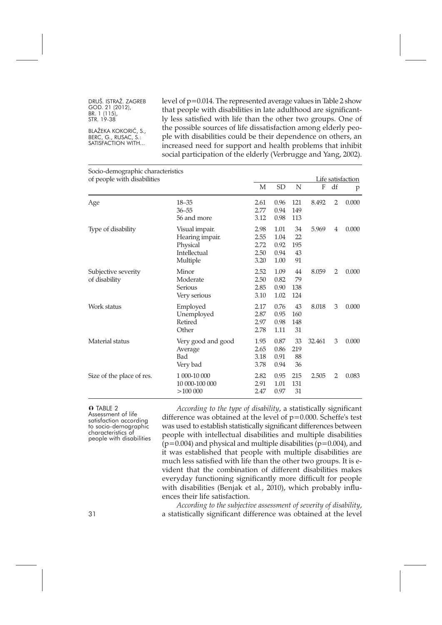BLAŽEKA KOKORIĆ, S., BERC, G., RUSAC, S.: SATISFACTION WITH...

level of p=0.014. The represented average values in Table 2 show that people with disabilities in late adulthood are significantly less satisfied with life than the other two groups. One of the possible sources of life dissatisfaction among elderly people with disabilities could be their dependence on others, an increased need for support and health problems that inhibit social participation of the elderly (Verbrugge and Yang, 2002).

| Socio-demographic characteristics<br>of people with disabilities |                                                                           |                                      | Life satisfaction                    |                             |        |                |       |
|------------------------------------------------------------------|---------------------------------------------------------------------------|--------------------------------------|--------------------------------------|-----------------------------|--------|----------------|-------|
|                                                                  |                                                                           | M                                    | <b>SD</b>                            | N                           | F      | df             | p     |
| Age                                                              | $18 - 35$<br>$36 - 55$<br>56 and more                                     | 2.61<br>2.77<br>3.12                 | 0.96<br>0.94<br>0.98                 | 121<br>149<br>113           | 8.492  | $\overline{2}$ | 0.000 |
| Type of disability                                               | Visual impair.<br>Hearing impair.<br>Physical<br>Intellectual<br>Multiple | 2.98<br>2.55<br>2.72<br>2.50<br>3.20 | 1.01<br>1.04<br>0.92<br>0.94<br>1.00 | 34<br>22<br>195<br>43<br>91 | 5.969  | 4              | 0.000 |
| Subjective severity<br>of disability                             | Minor<br>Moderate<br>Serious<br>Very serious                              | 2.52<br>2.50<br>2.85<br>3.10         | 1.09<br>0.82<br>0.90<br>1.02         | 44<br>79<br>138<br>124      | 8.059  | 2              | 0.000 |
| Work status                                                      | Employed<br>Unemployed<br>Retired<br>Other                                | 2.17<br>2.87<br>2.97<br>2.78         | 0.76<br>0.95<br>0.98<br>1.11         | 43<br>160<br>148<br>31      | 8.018  | 3              | 0.000 |
| Material status                                                  | Very good and good<br>Average<br>Bad<br>Very bad                          | 1.95<br>2.65<br>3.18<br>3.78         | 0.87<br>0.86<br>0.91<br>0.94         | 33<br>219<br>88<br>36       | 32.461 | 3              | 0.000 |
| Size of the place of res.                                        | 1 000-10 000<br>10 000-100 000<br>>100000                                 | 2.82<br>2.91<br>2.47                 | 0.95<br>1.01<br>0.97                 | 215<br>131<br>31            | 2.505  | $\overline{2}$ | 0.083 |

O TABLE 2

Assessment of life satisfaction according to socio-demographic characteristics of people with disabilities

*According to the type of disability*, a statistically significant difference was obtained at the level of  $p=0.000$ . Scheffe's test was used to establish statistically significant differences between people with intellectual disabilities and multiple disabilities  $(p=0.004)$  and physical and multiple disabilities  $(p=0.004)$ , and it was established that people with multiple disabilities are much less satisfied with life than the other two groups. It is evident that the combination of different disabilities makes everyday functioning significantly more difficult for people with disabilities (Benjak et al., 2010), which probably influences their life satisfaction.

*According to the subjective assessment of severity of disability*, 31 a statistically significant difference was obtained at the level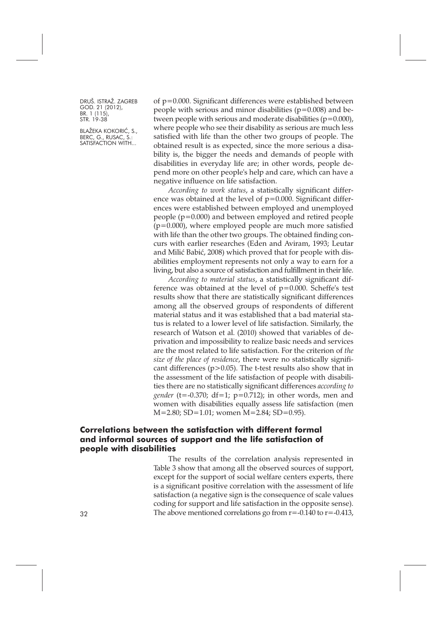BLAŽEKA KOKORIĆ, S., BERC, G., RUSAC, S. SATISFACTION WITH...

of p=0.000. Significant differences were established between people with serious and minor disabilities ( $p=0.008$ ) and between people with serious and moderate disabilities  $(p=0.000)$ , where people who see their disability as serious are much less satisfied with life than the other two groups of people. The obtained result is as expected, since the more serious a disability is, the bigger the needs and demands of people with disabilities in everyday life are; in other words, people depend more on other people's help and care, which can have a negative influence on life satisfaction.

*According to work status*, a statistically significant difference was obtained at the level of  $p=0.000$ . Significant differences were established between employed and unemployed people (p=0.000) and between employed and retired people  $(p=0.000)$ , where employed people are much more satisfied with life than the other two groups. The obtained finding concurs with earlier researches (Eden and Aviram, 1993; Leutar and Milić Babić, 2008) which proved that for people with disabilities employment represents not only a way to earn for a living, but also a source of satisfaction and fulfillment in their life.

*According to material status*, a statistically significant difference was obtained at the level of  $p=0.000$ . Scheffe's test results show that there are statistically significant differences among all the observed groups of respondents of different material status and it was established that a bad material status is related to a lower level of life satisfaction. Similarly, the research of Watson et al. (2010) showed that variables of deprivation and impossibility to realize basic needs and services are the most related to life satisfaction. For the criterion of *the size of the place of residence*, there were no statistically significant differences ( $p$ >0.05). The t-test results also show that in the assessment of the life satisfaction of people with disabilities there are no statistically significant differences *according to gender* (t=-0.370; df=1; p=0.712); in other words, men and women with disabilities equally assess life satisfaction (men M=2.80; SD=1.01; women M=2.84; SD=0.95).

## **Correlations between the satisfaction with different formal and informal sources of support and the life satisfaction of people with disabilities**

The results of the correlation analysis represented in Table 3 show that among all the observed sources of support, except for the support of social welfare centers experts, there is a significant positive correlation with the assessment of life satisfaction (a negative sign is the consequence of scale values coding for support and life satisfaction in the opposite sense). 32 The above mentioned correlations go from r=-0.140 to r=-0.413,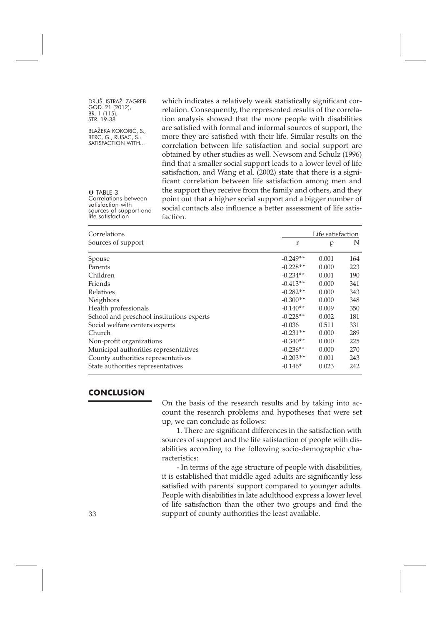| BR. 1 (115),<br>STR. 19-38<br>BLAŽEKA KOKORIĆ, S.,<br>BERC, G., RUSAC, S.:<br>SATISFACTION WITH         | tion analysis showed that the more people with disabilities<br>are satisfied with formal and informal sources of support, the<br>more they are satisfied with their life. Similar results on the<br>correlation between life satisfaction and social support are    |
|---------------------------------------------------------------------------------------------------------|---------------------------------------------------------------------------------------------------------------------------------------------------------------------------------------------------------------------------------------------------------------------|
|                                                                                                         | obtained by other studies as well. Newsom and Schulz (1996)<br>find that a smaller social support leads to a lower level of life<br>satisfaction, and Wang et al. (2002) state that there is a signi-<br>ficant correlation between life satisfaction among men and |
| $O$ TABLE 3<br>Correlations between<br>satisfaction with<br>sources of support and<br>life satisfaction | the support they receive from the family and others, and they<br>point out that a higher social support and a bigger number of<br>social contacts also influence a better assessment of life satis-<br>faction.                                                     |

| Correlations                              |            | Life satisfaction |     |  |  |  |
|-------------------------------------------|------------|-------------------|-----|--|--|--|
| Sources of support                        | r          | p                 | N   |  |  |  |
| Spouse                                    | $-0.249**$ | 0.001             | 164 |  |  |  |
| Parents                                   | $-0.228**$ | 0.000             | 223 |  |  |  |
| Children                                  | $-0.234**$ | 0.001             | 190 |  |  |  |
| Friends                                   | $-0.413**$ | 0.000             | 341 |  |  |  |
| Relatives                                 | $-0.282**$ | 0.000             | 343 |  |  |  |
| Neighbors                                 | $-0.300**$ | 0.000             | 348 |  |  |  |
| Health professionals                      | $-0.140**$ | 0.009             | 350 |  |  |  |
| School and preschool institutions experts | $-0.228**$ | 0.002             | 181 |  |  |  |
| Social welfare centers experts            | $-0.036$   | 0.511             | 331 |  |  |  |
| Church                                    | $-0.231**$ | 0.000             | 289 |  |  |  |
| Non-profit organizations                  | $-0.340**$ | 0.000             | 225 |  |  |  |
| Municipal authorities representatives     | $-0.236**$ | 0.000             | 270 |  |  |  |
| County authorities representatives        | $-0.203**$ | 0.001             | 243 |  |  |  |
| State authorities representatives         | $-0.146*$  | 0.023             | 242 |  |  |  |

## **CONCLUSION**

On the basis of the research results and by taking into account the research problems and hypotheses that were set up, we can conclude as follows:

1. There are significant differences in the satisfaction with sources of support and the life satisfaction of people with disabilities according to the following socio-demographic characteristics:

- In terms of the age structure of people with disabilities, it is established that middle aged adults are significantly less satisfied with parents' support compared to younger adults. People with disabilities in late adulthood express a lower level of life satisfaction than the other two groups and find the 33 support of county authorities the least available.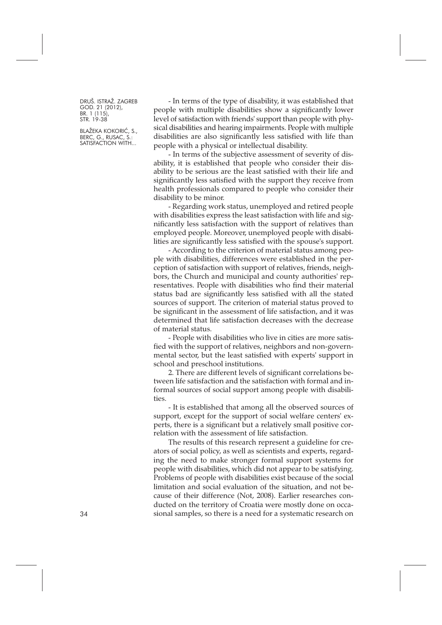BLAŽEKA KOKORIĆ, S., BERC, G., RUSAC, S. SATISFACTION WITH...

- In terms of the type of disability, it was established that people with multiple disabilities show a significantly lower level of satisfaction with friends' support than people with physical disabilities and hearing impairments. People with multiple disabilities are also significantly less satisfied with life than people with a physical or intellectual disability.

- In terms of the subjective assessment of severity of disability, it is established that people who consider their disability to be serious are the least satisfied with their life and significantly less satisfied with the support they receive from health professionals compared to people who consider their disability to be minor.

- Regarding work status, unemployed and retired people with disabilities express the least satisfaction with life and significantly less satisfaction with the support of relatives than employed people. Moreover, unemployed people with disabilities are significantly less satisfied with the spouse's support.

- According to the criterion of material status among people with disabilities, differences were established in the perception of satisfaction with support of relatives, friends, neighbors, the Church and municipal and county authorities' representatives. People with disabilities who find their material status bad are significantly less satisfied with all the stated sources of support. The criterion of material status proved to be significant in the assessment of life satisfaction, and it was determined that life satisfaction decreases with the decrease of material status.

- People with disabilities who live in cities are more satisfied with the support of relatives, neighbors and non-governmental sector, but the least satisfied with experts' support in school and preschool institutions.

2. There are different levels of significant correlations between life satisfaction and the satisfaction with formal and informal sources of social support among people with disabilities.

- It is established that among all the observed sources of support, except for the support of social welfare centers' experts, there is a significant but a relatively small positive correlation with the assessment of life satisfaction.

The results of this research represent a guideline for creators of social policy, as well as scientists and experts, regarding the need to make stronger formal support systems for people with disabilities, which did not appear to be satisfying. Problems of people with disabilities exist because of the social limitation and social evaluation of the situation, and not because of their difference (Not, 2008). Earlier researches conducted on the territory of Croatia were mostly done on occa-34 sional samples, so there is a need for a systematic research on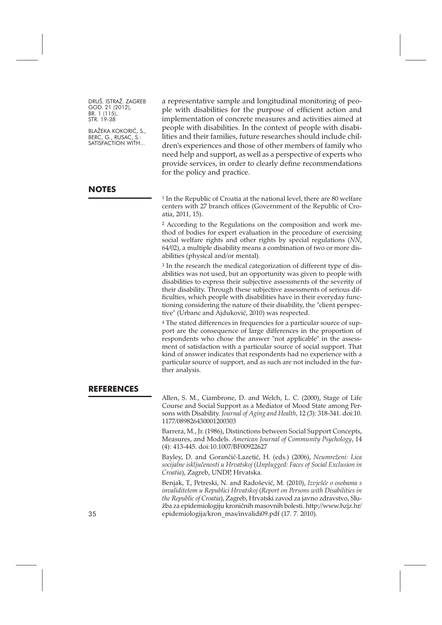BLAŽEKA KOKORIĆ, S., BERC, G., RUSAC, S. SATISFACTION WITH...

**NOTES**

a representative sample and longitudinal monitoring of people with disabilities for the purpose of efficient action and implementation of concrete measures and activities aimed at people with disabilities. In the context of people with disabilities and their families, future researches should include children's experiences and those of other members of family who need help and support, as well as a perspective of experts who provide services, in order to clearly define recommendations for the policy and practice.

<sup>1</sup> In the Republic of Croatia at the national level, there are 80 welfare centers with 27 branch offices (Government of the Republic of Croatia, 2011, 15).

2 According to the Regulations on the composition and work method of bodies for expert evaluation in the procedure of exercising social welfare rights and other rights by special regulations (*NN*, 64/02), a multiple disability means a combination of two or more disabilities (physical and/or mental).

<sup>3</sup> In the research the medical categorization of different type of disabilities was not used, but an opportunity was given to people with disabilities to express their subjective assessments of the severity of their disability. Through these subjective assessments of serious difficulties, which people with disabilities have in their everyday functioning considering the nature of their disability, the "client perspective" (Urbanc and Ajduković, 2010) was respected.

<sup>4</sup> The stated differences in frequencies for a particular source of support are the consequence of large differences in the proportion of respondents who chose the answer "not applicable" in the assessment of satisfaction with a particular source of social support. That kind of answer indicates that respondents had no experience with a particular source of support, and as such are not included in the further analysis.

#### **REFERENCES**

Allen, S. M., Ciambrone, D. and Welch, L. C. (2000), Stage of Life Course and Social Support as a Mediator of Mood State among Persons with Disability. *Journal of Aging and Health*, 12 (3): 318-341. [doi:10.](http://dx.doi.org/10.1177/089826430001200303) [1177/089826430001200303](http://dx.doi.org/10.1177/089826430001200303)

Barrera, M., Jr. (1986), Distinctions between Social Support Concepts, Measures, and Models. *American Journal of Community Psychology*, 14 (4): 413-445. [doi:10.1007/BF00922627](http://dx.doi.org/10.1007/BF00922627)

Bayley, D. and Gorančić-Lazetić, H. (eds.) (2006), *Neumreženi: Lica socijalne isključenosti u Hrvatskoj* (*Unplugged: Faces of Social Exclusion in Croatia*), Zagreb, UNDP, Hrvatska.

Benjak, T., Petreski, N. and Radošević, M. (2010), *Izvješće o osobama s invaliditetom u Republici Hrvatskoj* (*Report on Persons with Disabilities in the Republic of Croatia*), Zagreb, Hrvatski zavod za javno zdravstvo, Služba za epidemiologiju kroničnih masovnih bolesti. http://www.hzjz.hr/ 35 epidemiologija/kron\_mas/invalidi09.pdf (17. 7. 2010).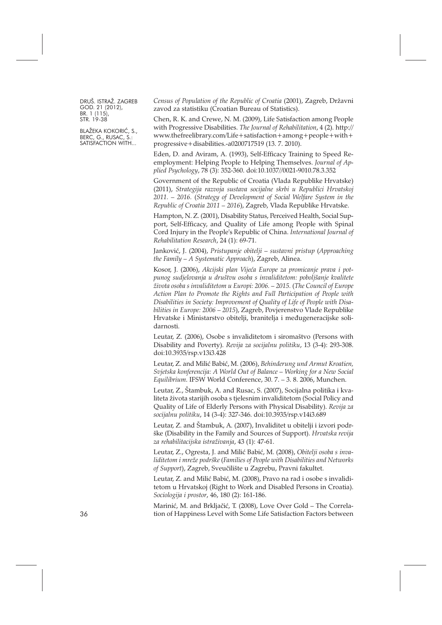BLAŽEKA KOKORIĆ, S., BERC, G., RUSAC, S. SATISFACTION WITH...

*Census of Population of the Republic of Croatia* (2001), Zagreb, Državni zavod za statistiku (Croatian Bureau of Statistics).

Chen, R. K. and Crewe, N. M. (2009), Life Satisfaction among People with Progressive Disabilities. *The Journal of Rehabilitation*, 4 (2). [http://](http://www.thefreelibrary.com/Life+satisfaction+among+people+with+progressive+disabilities.-a0200717519) [www.thefreelibrary.com/Life+satisfaction+among+people+with+](http://www.thefreelibrary.com/Life+satisfaction+among+people+with+progressive+disabilities.-a0200717519) [progressive+disabilities.-a0200717519](http://www.thefreelibrary.com/Life+satisfaction+among+people+with+progressive+disabilities.-a0200717519) (13. 7. 2010).

Eden, D. and Aviram, A. (1993), Self-Efficacy Training to Speed Reemployment: Helping People to Helping Themselves. *Journal of Applied Psychology*, 78 (3): 352-360. [doi:10.1037//0021-9010.78.3.352](http://dx.doi.org/10.1037//0021-9010.78.3.352)

Government of the Republic of Croatia (Vlada Republike Hrvatske) (2011), *Strategija razvoja sustava socijalne skrbi u Republici Hrvatskoj 2011. – 2016.* (*Strategy of Development of Social Welfare System in the Republic of Croatia 2011 – 2016*), Zagreb, Vlada Republike Hrvatske.

Hampton, N. Z. (2001), Disability Status, Perceived Health, Social Support, Self-Efficacy, and Quality of Life among People with Spinal Cord Injury in the People's Republic of China. *International Journal of Rehabilitation Research*, 24 (1): 69-71.

Janković, J. (2004), *Pristupanje obitelji – sustavni pristup* (*Approaching the Family – A Systematic Approach*), Zagreb, Alinea.

Kosor, J. (2006), *Akcijski plan Vijeća Europe za promicanje prava i potpunog sudjelovanja u društvu osoba s invaliditetom: poboljšanje kvalitete života osoba s invaliditetom u Europi: 2006. – 2015.* (*The Council of Europe Action Plan to Promote the Rights and Full Participation of People with Disabilities in Society: Improvement of Quality of Life of People with Disabilities in Europe: 2006 – 2015*), Zagreb, Povjerenstvo Vlade Republike Hrvatske i Ministarstvo obitelji, branitelja i međugeneracijske solidarnosti.

Leutar, Z. (2006), Osobe s invaliditetom i siromaštvo (Persons with Disability and Poverty). *Revija za socijalnu politiku*, 13 (3-4): 293-308. [doi:10.3935/rsp.v13i3.428](http://dx.doi.org/10.3935/rsp.v13i3.428)

Leutar, Z. and Milić Babić, M. (2006), *Behinderung und Armut Kroatien, Svjetska konferencija: A World Out of Balance – Working for a New Social Equilibrium*. IFSW World Conference, 30. 7. – 3. 8. 2006, Munchen.

Leutar, Z., Štambuk, A. and Rusac, S. (2007), Socijalna politika i kvaliteta života starijih osoba s tjelesnim invaliditetom (Social Policy and Quality of Life of Elderly Persons with Physical Disability). *Revija za socijalnu politiku*, 14 (3-4): 327-346. [doi:10.3935/rsp.v14i3.689](http://dx.doi.org/10.3935/rsp.v14i3.689)

Leutar, Z. and Štambuk, A. (2007), Invaliditet u obitelji i izvori podrške (Disability in the Family and Sources of Support). *Hrvatska revija za rehabilitacijska istraživanja*, 43 (1): 47-61.

Leutar, Z., Ogresta, J. and Milić Babić, M. (2008), *Obitelji osoba s invaliditetom i mreže podrške* (*Families of People with Disabilities and Networks of Support*), Zagreb, Sveučilište u Zagrebu, Pravni fakultet.

Leutar, Z. and Milić Babić, M. (2008), Pravo na rad i osobe s invaliditetom u Hrvatskoj (Right to Work and Disabled Persons in Croatia). *Sociologija i prostor*, 46, 180 (2): 161-186.

Marinić, M. and Brkljačić, T. (2008), Love Over Gold – The Correla-36 tion of Happiness Level with Some Life Satisfaction Factors between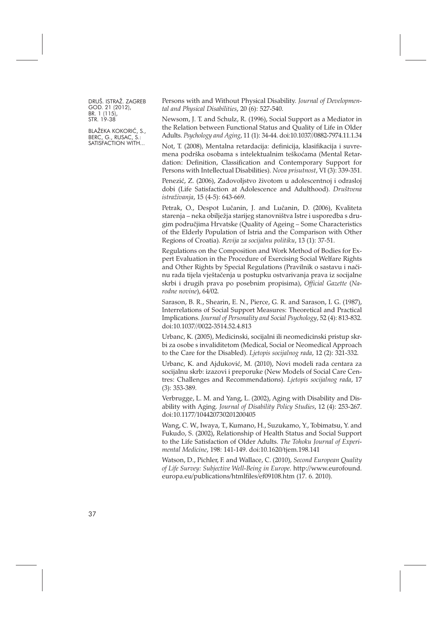BLAŽEKA KOKORIĆ, S., BERC, G., RUSAC, S. SATISFACTION WITH...

Persons with and Without Physical Disability. *Journal of Developmental and Physical Disabilities*, 20 (6): 527-540.

Newsom, J. T. and Schulz, R. (1996), Social Support as a Mediator in the Relation between Functional Status and Quality of Life in Older Adults. *Psychology and Aging*, 11 (1): 34-44. [doi:10.1037//0882-7974.11.1.34](http://dx.doi.org/10.1037//0882-7974.11.1.34)

Not, T. (2008), Mentalna retardacija: definicija, klasifikacija i suvremena podrška osobama s intelektualnim teškoćama (Mental Retardation: Definition, Classification and Contemporary Support for Persons with Intellectual Disabilities). *Nova prisutnost*, VI (3): 339-351.

Penezić, Z. (2006), Zadovoljstvo životom u adolescentnoj i odrasloj dobi (Life Satisfaction at Adolescence and Adulthood). *Društvena istraživanja*, 15 (4-5): 643-669.

Petrak, O., Despot Lučanin, J. and Lučanin, D. (2006), Kvaliteta starenja – neka obilježja starijeg stanovništva Istre i usporedba s drugim područjima Hrvatske (Quality of Ageing – Some Characteristics of the Elderly Population of Istria and the Comparison with Other Regions of Croatia). *Revija za socijalnu politiku*, 13 (1): 37-51.

Regulations on the Composition and Work Method of Bodies for Expert Evaluation in the Procedure of Exercising Social Welfare Rights and Other Rights by Special Regulations (Pravilnik o sastavu i načinu rada tijela vještačenja u postupku ostvarivanja prava iz socijalne skrbi i drugih prava po posebnim propisima), *Official Gazette* (*Narodne novine*), 64/02.

Sarason, B. R., Shearin, E. N., Pierce, G. R. and Sarason, I. G. (1987), Interrelations of Social Support Measures: Theoretical and Practical Implications. *Journal of Personality and Social Psychology*, 52 (4): 813-832. [doi:10.1037//0022-3514.52.4.813](http://dx.doi.org/10.1037//0022-3514.52.4.813)

Urbanc, K. (2005), Medicinski, socijalni ili neomedicinski pristup skrbi za osobe s invaliditetom (Medical, Social or Neomedical Approach to the Care for the Disabled). *Ljetopis socijalnog rada*, 12 (2): 321-332.

Urbanc, K. and Ajduković, M. (2010), Novi modeli rada centara za socijalnu skrb: izazovi i preporuke (New Models of Social Care Centres: Challenges and Recommendations). *Ljetopis socijalnog rada*, 17 (3): 353-389.

Verbrugge, L. M. and Yang, L. (2002), Aging with Disability and Disability with Aging. *Journal of Disability Policy Studies*, 12 (4): 253-267. [doi:10.1177/104420730201200405](http://dx.doi.org/10.1177/104420730201200405)

Wang, C. W., Iwaya, T., Kumano, H., Suzukamo, Y., Tobimatsu, Y. and Fukudo, S. (2002), Relationship of Health Status and Social Support to the Life Satisfaction of Older Adults. *The Tohoku Journal of Experimental Medicine*, 198: 141-149. [doi:10.1620/tjem.198.141](http://dx.doi.org/10.1620/tjem.198.141)

Watson, D., Pichler, F. and Wallace, C. (2010), *Second European Quality of Life Survey: Subjective Well-Being in Europe*. [http://www.eurofound.](http://www.eurofound.europa.eu/publications/htmlfiles/ef09108.htm) [europa.eu/publications/htmlfiles/ef09108.htm](http://www.eurofound.europa.eu/publications/htmlfiles/ef09108.htm) (17. 6. 2010).